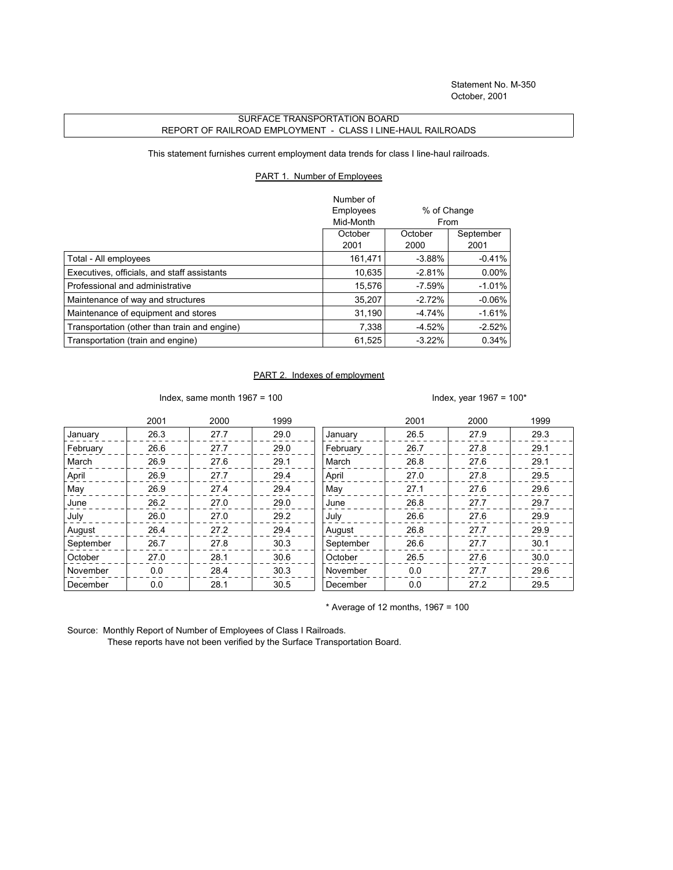## SURFACE TRANSPORTATION BOARD REPORT OF RAILROAD EMPLOYMENT - CLASS I LINE-HAUL RAILROADS

This statement furnishes current employment data trends for class I line-haul railroads.

## PART 1. Number of Employees

|                                              | Number of |                     |           |
|----------------------------------------------|-----------|---------------------|-----------|
|                                              | Employees | % of Change<br>From |           |
|                                              | Mid-Month |                     |           |
|                                              | October   | October             | September |
|                                              | 2001      | 2000                | 2001      |
| Total - All employees                        | 161.471   | $-3.88%$            | $-0.41%$  |
| Executives, officials, and staff assistants  | 10,635    | $-2.81%$            | $0.00\%$  |
| Professional and administrative              | 15.576    | $-7.59\%$           | $-1.01%$  |
| Maintenance of way and structures            | 35.207    | $-2.72%$            | $-0.06\%$ |
| Maintenance of equipment and stores          | 31.190    | $-4.74%$            | $-1.61\%$ |
| Transportation (other than train and engine) | 7,338     | $-4.52%$            | $-2.52%$  |
| Transportation (train and engine)            | 61,525    | $-3.22%$            | 0.34%     |

## PART 2. Indexes of employment

Index, same month 1967 = 100  $\blacksquare$ 

|           | 2001 | 2000 | 1999 |           | 2001 | 2000 | 1999 |
|-----------|------|------|------|-----------|------|------|------|
| January   | 26.3 | 27.7 | 29.0 | January   | 26.5 | 27.9 | 29.3 |
| February  | 26.6 | 27.7 | 29.0 | February  | 26.7 | 27.8 | 29.1 |
| March     | 26.9 | 27.6 | 29.1 | March     | 26.8 | 27.6 | 29.1 |
| April     | 26.9 | 27.7 | 29.4 | April     | 27.0 | 27.8 | 29.5 |
| May       | 26.9 | 27.4 | 29.4 | May       | 27.1 | 27.6 | 29.6 |
| June      | 26.2 | 27.0 | 29.0 | June      | 26.8 | 27.7 | 29.7 |
| July      | 26.0 | 27.0 | 29.2 | July      | 26.6 | 27.6 | 29.9 |
| August    | 26.4 | 27.2 | 29.4 | August    | 26.8 | 27.7 | 29.9 |
| September | 26.7 | 27.8 | 30.3 | September | 26.6 | 27.7 | 30.1 |
| October   | 27.0 | 28.1 | 30.6 | October   | 26.5 | 27.6 | 30.0 |
| November  | 0.0  | 28.4 | 30.3 | November  | 0.0  | 27.7 | 29.6 |
| December  | 0.0  | 28.1 | 30.5 | December  | 0.0  | 27.2 | 29.5 |

 $*$  Average of 12 months, 1967 = 100

Source: Monthly Report of Number of Employees of Class I Railroads.

These reports have not been verified by the Surface Transportation Board.